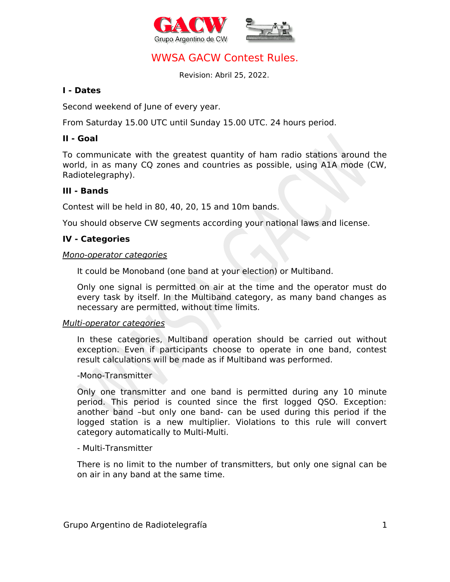



# WWSA GACW Contest Rules.

Revision: Abril 25, 2022.

#### **I - Dates**

Second weekend of June of every year.

From Saturday 15.00 UTC until Sunday 15.00 UTC. 24 hours period.

### **II - Goal**

To communicate with the greatest quantity of ham radio stations around the world, in as many CQ zones and countries as possible, using A1A mode (CW, Radiotelegraphy).

### **III - Bands**

Contest will be held in 80, 40, 20, 15 and 10m bands.

You should observe CW segments according your national laws and license.

### **IV - Categories**

#### Mono-operator categories

It could be Monoband (one band at your election) or Multiband.

Only one signal is permitted on air at the time and the operator must do every task by itself. In the Multiband category, as many band changes as necessary are permitted, without time limits.

#### Multi-operator categories

In these categories, Multiband operation should be carried out without exception. Even if participants choose to operate in one band, contest result calculations will be made as if Multiband was performed.

#### -Mono-Transmitter

Only one transmitter and one band is permitted during any 10 minute period. This period is counted since the first logged QSO. Exception: another band –but only one band- can be used during this period if the logged station is a new multiplier. Violations to this rule will convert category automatically to Multi-Multi.

#### - Multi-Transmitter

There is no limit to the number of transmitters, but only one signal can be on air in any band at the same time.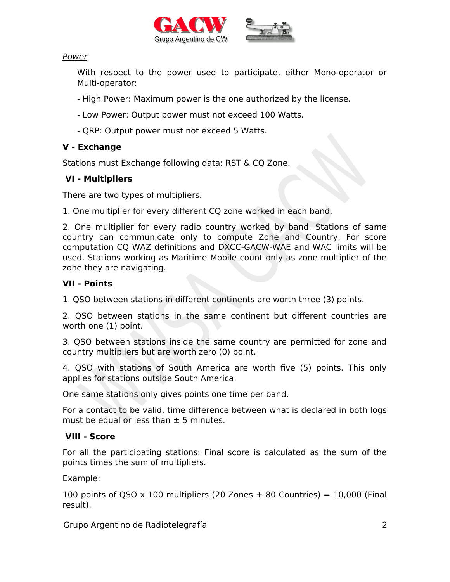



#### Power

With respect to the power used to participate, either Mono-operator or Multi-operator:

- High Power: Maximum power is the one authorized by the license.
- Low Power: Output power must not exceed 100 Watts.
- QRP: Output power must not exceed 5 Watts.

## **V - Exchange**

Stations must Exchange following data: RST & CQ Zone.

### **VI - Multipliers**

There are two types of multipliers.

1. One multiplier for every different CQ zone worked in each band.

2. One multiplier for every radio country worked by band. Stations of same country can communicate only to compute Zone and Country. For score computation CQ WAZ definitions and DXCC-GACW-WAE and WAC limits will be used. Stations working as Maritime Mobile count only as zone multiplier of the zone they are navigating.

### **VII - Points**

1. QSO between stations in different continents are worth three (3) points.

2. QSO between stations in the same continent but different countries are worth one (1) point.

3. QSO between stations inside the same country are permitted for zone and country multipliers but are worth zero (0) point.

4. QSO with stations of South America are worth five (5) points. This only applies for stations outside South America.

One same stations only gives points one time per band.

For a contact to be valid, time difference between what is declared in both logs must be equal or less than  $\pm$  5 minutes.

## **VIII - Score**

For all the participating stations: Final score is calculated as the sum of the points times the sum of multipliers.

Example:

100 points of QSO  $\times$  100 multipliers (20 Zones + 80 Countries) = 10,000 (Final result).

Grupo Argentino de Radiotelegrafía 2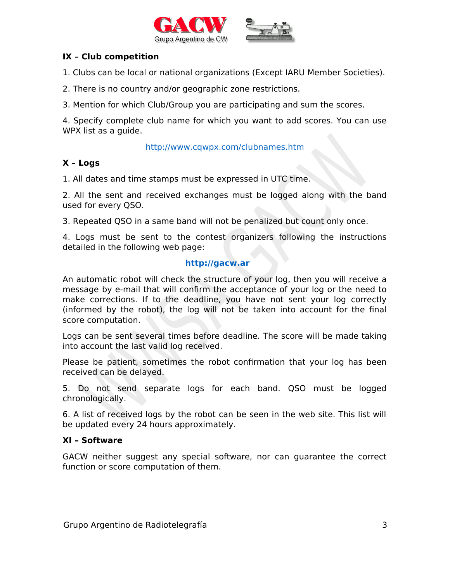



#### **IX – Club competition**

1. Clubs can be local or national organizations (Except IARU Member Societies).

- 2. There is no country and/or geographic zone restrictions.
- 3. Mention for which Club/Group you are participating and sum the scores.

4. Specify complete club name for which you want to add scores. You can use WPX list as a quide.

#### <http://www.cqwpx.com/clubnames.htm>

### **X – Logs**

1. All dates and time stamps must be expressed in UTC time.

2. All the sent and received exchanges must be logged along with the band used for every QSO.

3. Repeated QSO in a same band will not be penalized but count only once.

4. Logs must be sent to the contest organizers following the instructions detailed in the following web page:

#### **[http://gacw.ar](http://www.contest.com.ar/)**

An automatic robot will check the structure of your log, then you will receive a message by e-mail that will confirm the acceptance of your log or the need to make corrections. If to the deadline, you have not sent your log correctly (informed by the robot), the log will not be taken into account for the final score computation.

Logs can be sent several times before deadline. The score will be made taking into account the last valid log received.

Please be patient, sometimes the robot confirmation that your log has been received can be delayed.

5. Do not send separate logs for each band. QSO must be logged chronologically.

6. A list of received logs by the robot can be seen in the web site. This list will be updated every 24 hours approximately.

### **XI – Software**

GACW neither suggest any special software, nor can guarantee the correct function or score computation of them.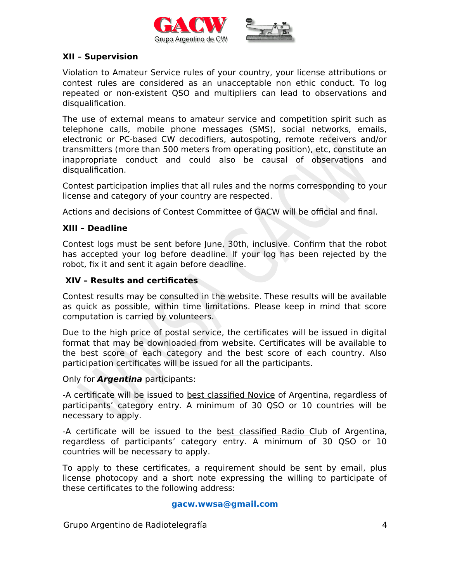

#### **XII – Supervision**

Violation to Amateur Service rules of your country, your license attributions or contest rules are considered as an unacceptable non ethic conduct. To log repeated or non-existent QSO and multipliers can lead to observations and disqualification.

The use of external means to amateur service and competition spirit such as telephone calls, mobile phone messages (SMS), social networks, emails, electronic or PC-based CW decodifiers, autospoting, remote receivers and/or transmitters (more than 500 meters from operating position), etc, constitute an inappropriate conduct and could also be causal of observations and disqualification.

Contest participation implies that all rules and the norms corresponding to your license and category of your country are respected.

Actions and decisions of Contest Committee of GACW will be official and final.

#### **XIII – Deadline**

Contest logs must be sent before June, 30th, inclusive. Confirm that the robot has accepted your log before deadline. If your log has been rejected by the robot, fix it and sent it again before deadline.

#### **XIV – Results and certificates**

Contest results may be consulted in the website. These results will be available as quick as possible, within time limitations. Please keep in mind that score computation is carried by volunteers.

Due to the high price of postal service, the certificates will be issued in digital format that may be downloaded from website. Certificates will be available to the best score of each category and the best score of each country. Also participation certificates will be issued for all the participants.

Only for **Argentina** participants:

-A certificate will be issued to best classified Novice of Argentina, regardless of participants' category entry. A minimum of 30 QSO or 10 countries will be necessary to apply.

-A certificate will be issued to the **best classified Radio Club** of Argentina, regardless of participants' category entry. A minimum of 30 QSO or 10 countries will be necessary to apply.

To apply to these certificates, a requirement should be sent by email, plus license photocopy and a short note expressing the willing to participate of these certificates to the following address:

#### **[gacw.wwsa@gmail.com](mailto:gacw.wwsa@gmail.com)**

Grupo Argentino de Radiotelegrafía 4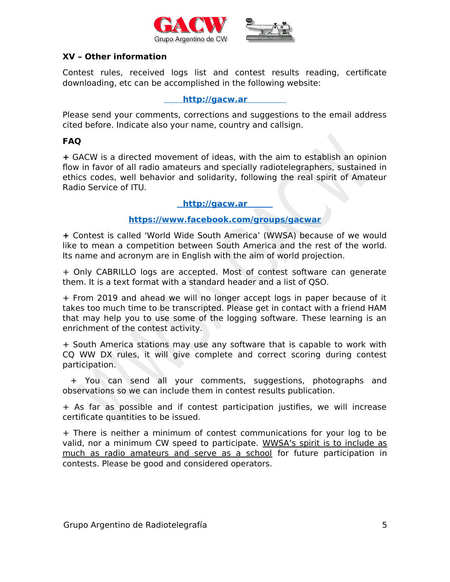



#### **XV – Other information**

Contest rules, received logs list and contest results reading, certificate downloading, etc can be accomplished in the following website:

**[http://gacw.ar](http://www.contest.com.ar/gacw-wwsa)**

Please send your comments, corrections and suggestions to the email address cited before. Indicate also your name, country and callsign.

### **FAQ**

**+** GACW is a directed movement of ideas, with the aim to establish an opinion flow in favor of all radio amateurs and specially radiotelegraphers, sustained in ethics codes, well behavior and solidarity, following the real spirit of Amateur Radio Service of ITU.

#### **[http://gacw.ar](http://www.gacw.org/)**

### **[https://www.facebook.com/groups/gacwar](https://www.facebook.com/groups/gacwar/)**

**+** Contest is called 'World Wide South America' (WWSA) because of we would like to mean a competition between South America and the rest of the world. Its name and acronym are in English with the aim of world projection.

+ Only CABRILLO logs are accepted. Most of contest software can generate them. It is a text format with a standard header and a list of QSO.

+ From 2019 and ahead we will no longer accept logs in paper because of it takes too much time to be transcripted. Please get in contact with a friend HAM that may help you to use some of the logging software. These learning is an enrichment of the contest activity.

+ South America stations may use any software that is capable to work with CQ WW DX rules, it will give complete and correct scoring during contest participation.

 + You can send all your comments, suggestions, photographs and observations so we can include them in contest results publication.

+ As far as possible and if contest participation justifies, we will increase certificate quantities to be issued.

+ There is neither a minimum of contest communications for your log to be valid, nor a minimum CW speed to participate. WWSA's spirit is to include as much as radio amateurs and serve as a school for future participation in contests. Please be good and considered operators.